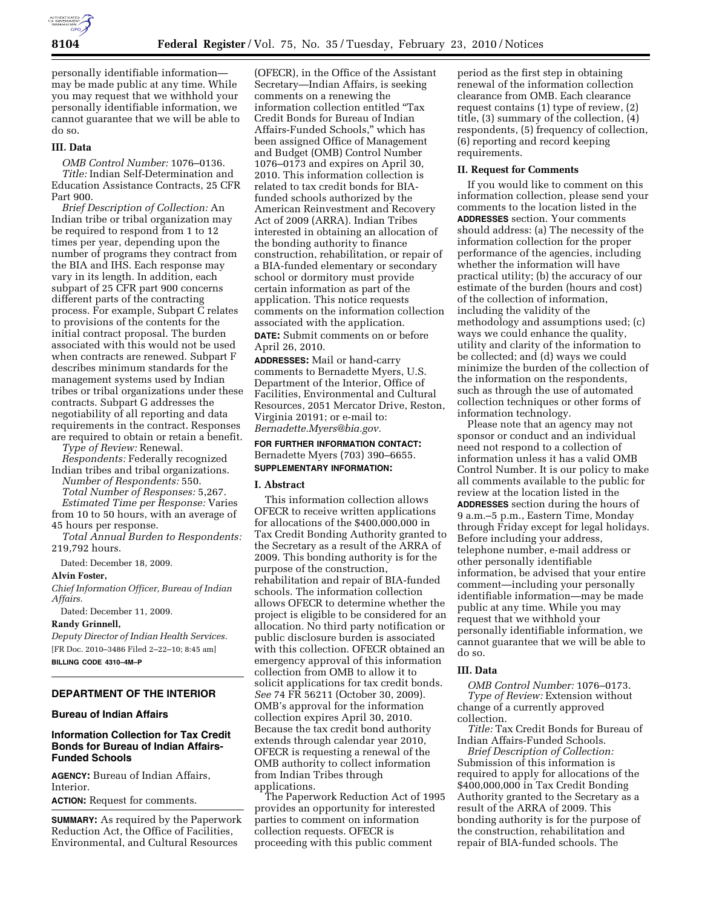

personally identifiable information may be made public at any time. While you may request that we withhold your personally identifiable information, we cannot guarantee that we will be able to do so.

### **III. Data**

*OMB Control Number:* 1076–0136. *Title:* Indian Self-Determination and Education Assistance Contracts, 25 CFR Part 900.

*Brief Description of Collection:* An Indian tribe or tribal organization may be required to respond from 1 to 12 times per year, depending upon the number of programs they contract from the BIA and IHS. Each response may vary in its length. In addition, each subpart of 25 CFR part 900 concerns different parts of the contracting process. For example, Subpart C relates to provisions of the contents for the initial contract proposal. The burden associated with this would not be used when contracts are renewed. Subpart F describes minimum standards for the management systems used by Indian tribes or tribal organizations under these contracts. Subpart G addresses the negotiability of all reporting and data requirements in the contract. Responses are required to obtain or retain a benefit.

*Type of Review:* Renewal. *Respondents:* Federally recognized Indian tribes and tribal organizations.

*Number of Respondents:* 550. *Total Number of Responses:* 5,267. *Estimated Time per Response:* Varies

from 10 to 50 hours, with an average of 45 hours per response.

*Total Annual Burden to Respondents:*  219,792 hours.

Dated: December 18, 2009.

#### **Alvin Foster,**

*Chief Information Officer, Bureau of Indian Affairs.* 

Dated: December 11, 2009.

## **Randy Grinnell,**

*Deputy Director of Indian Health Services.*  [FR Doc. 2010–3486 Filed 2–22–10; 8:45 am] **BILLING CODE 4310–4M–P** 

# **DEPARTMENT OF THE INTERIOR**

## **Bureau of Indian Affairs**

## **Information Collection for Tax Credit Bonds for Bureau of Indian Affairs-Funded Schools**

**AGENCY:** Bureau of Indian Affairs, Interior.

**ACTION:** Request for comments.

**SUMMARY:** As required by the Paperwork Reduction Act, the Office of Facilities, Environmental, and Cultural Resources

(OFECR), in the Office of the Assistant Secretary—Indian Affairs, is seeking comments on a renewing the information collection entitled ''Tax Credit Bonds for Bureau of Indian Affairs-Funded Schools,'' which has been assigned Office of Management and Budget (OMB) Control Number 1076–0173 and expires on April 30, 2010. This information collection is related to tax credit bonds for BIAfunded schools authorized by the American Reinvestment and Recovery Act of 2009 (ARRA). Indian Tribes interested in obtaining an allocation of the bonding authority to finance construction, rehabilitation, or repair of a BIA-funded elementary or secondary school or dormitory must provide certain information as part of the application. This notice requests comments on the information collection associated with the application.

**DATE:** Submit comments on or before April 26, 2010.

**ADDRESSES:** Mail or hand-carry comments to Bernadette Myers, U.S. Department of the Interior, Office of Facilities, Environmental and Cultural Resources, 2051 Mercator Drive, Reston, Virginia 20191; or e-mail to: *Bernadette.Myers@bia.gov.* 

**FOR FURTHER INFORMATION CONTACT:**  Bernadette Myers (703) 390–6655. **SUPPLEMENTARY INFORMATION:** 

#### **I. Abstract**

This information collection allows OFECR to receive written applications for allocations of the \$400,000,000 in Tax Credit Bonding Authority granted to the Secretary as a result of the ARRA of 2009. This bonding authority is for the purpose of the construction, rehabilitation and repair of BIA-funded schools. The information collection allows OFECR to determine whether the project is eligible to be considered for an allocation. No third party notification or public disclosure burden is associated with this collection. OFECR obtained an emergency approval of this information collection from OMB to allow it to solicit applications for tax credit bonds. *See* 74 FR 56211 (October 30, 2009). OMB's approval for the information collection expires April 30, 2010. Because the tax credit bond authority extends through calendar year 2010, OFECR is requesting a renewal of the OMB authority to collect information from Indian Tribes through applications.

The Paperwork Reduction Act of 1995 provides an opportunity for interested parties to comment on information collection requests. OFECR is proceeding with this public comment

period as the first step in obtaining renewal of the information collection clearance from OMB. Each clearance request contains (1) type of review, (2) title, (3) summary of the collection, (4) respondents, (5) frequency of collection, (6) reporting and record keeping requirements.

## **II. Request for Comments**

If you would like to comment on this information collection, please send your comments to the location listed in the **ADDRESSES** section. Your comments should address: (a) The necessity of the information collection for the proper performance of the agencies, including whether the information will have practical utility; (b) the accuracy of our estimate of the burden (hours and cost) of the collection of information, including the validity of the methodology and assumptions used; (c) ways we could enhance the quality, utility and clarity of the information to be collected; and (d) ways we could minimize the burden of the collection of the information on the respondents, such as through the use of automated collection techniques or other forms of information technology.

Please note that an agency may not sponsor or conduct and an individual need not respond to a collection of information unless it has a valid OMB Control Number. It is our policy to make all comments available to the public for review at the location listed in the **ADDRESSES** section during the hours of 9 a.m.–5 p.m., Eastern Time, Monday through Friday except for legal holidays. Before including your address, telephone number, e-mail address or other personally identifiable information, be advised that your entire comment—including your personally identifiable information—may be made public at any time. While you may request that we withhold your personally identifiable information, we cannot guarantee that we will be able to do so.

## **III. Data**

*OMB Control Number:* 1076–0173. *Type of Review:* Extension without change of a currently approved collection.

*Title:* Tax Credit Bonds for Bureau of Indian Affairs-Funded Schools.

*Brief Description of Collection:*  Submission of this information is required to apply for allocations of the \$400,000,000 in Tax Credit Bonding Authority granted to the Secretary as a result of the ARRA of 2009. This bonding authority is for the purpose of the construction, rehabilitation and repair of BIA-funded schools. The